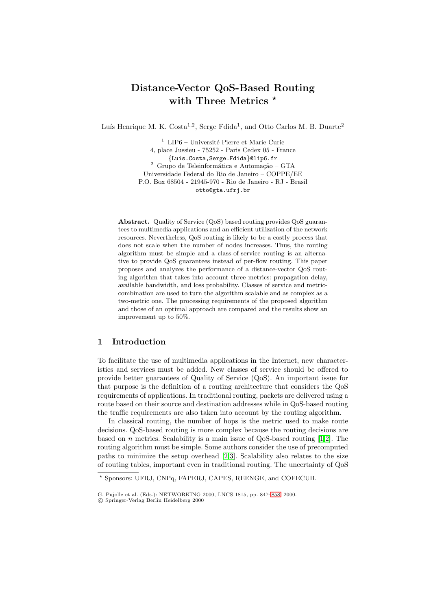# **Distance-Vector QoS-Based Routing with Three Metrics** *?*

Luís Henrique M. K.  $Costa^{1,2}$ , Serge Fdida<sup>1</sup>, and Otto Carlos M. B. Duarte<sup>2</sup>

 $1$  LIP6 – Université Pierre et Marie Curie 4, place Jussieu - 75252 - Paris Cedex 05 - France {Luis.Costa,Serge.Fdida}@lip6.fr  $^2\,$ Grupo de Teleinformática e Automação – GTA Universidade Federal do Rio de Janeiro – COPPE/EE P.O. Box 68504 - 21945-970 - Rio de Janeiro - RJ - Brasil otto@gta.ufrj.br

**Abstract.** Quality of Service (QoS) based routing provides QoS guarantees to multimedia applications and an efficient utilization of the network resources. Nevertheless, QoS routing is likely to be a costly process that does not scale when the number of nodes increases. Thus, the routing algorithm must be simple and a class-of-service routing is an alternative to provide QoS guarantees instead of per-flow routing. This paper proposes and analyzes the performance of a distance-vector QoS routing algorithm that takes into account three metrics: propagation delay, available bandwidth, and loss probability. Classes of service and metriccombination are used to turn the algorithm scalable and as complex as a two-metric one. The processing requirements of the proposed algorithm and those of an optimal approach are compared and the results show an improvement up to 50%.

# **1 Introduction**

To facilitate the use of multimedia applications in the Internet, new characteristics and services must be added. New classes of service should be offered to provide better guarantees of Quality of Service (QoS). An important issue for that purpose is the definition of a routing architecture that considers the QoS requirements of applications. In traditional routing, packets are delivered using a route based on their source and destination addresses while in QoS-based routing the traffic requirements are also taken into account by the routing algorithm.

In classical routing, the number of hops is the metric used to make route decisions. QoS-based routing is more complex because the routing decisions are based on n metrics. Scalability is a main issue of QoS-based routing  $[1,2]$ . The routing algorithm must be simple. Some authors consider the use of precomputed paths to minimize the setup overhead [\[2](#page-10-0)[,3\]](#page-11-0). Scalability also relates to the size of routing tables, important even in traditional routing. The uncertainty of QoS

<sup>?</sup> Sponsors: UFRJ, CNPq, FAPERJ, CAPES, REENGE, and COFECUB.

G. Pujolle et al. (Eds.): NETWORKING 2000, LNCS 1815, pp. 847[–858,](#page-11-0) 2000.

c Springer-Verlag Berlin Heidelberg 2000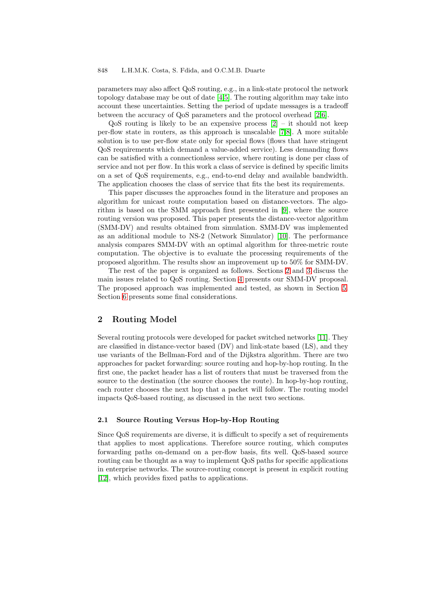parameters may also affect QoS routing, e.g., in a link-state protocol the network topology database may be out of date [\[4,5\]](#page-11-0). The routing algorithm may take into account these uncertainties. Setting the period of update messages is a tradeoff between the accuracy of QoS parameters and the protocol overhead [\[2](#page-10-0)[,6\]](#page-11-0).

 $Q$ oS routing is likely to be an expensive process  $[2]$  – it should not keep per-flow state in routers, as this approach is unscalable [\[7,8\]](#page-11-0). A more suitable solution is to use per-flow state only for special flows (flows that have stringent QoS requirements which demand a value-added service). Less demanding flows can be satisfied with a connectionless service, where routing is done per class of service and not per flow. In this work a class of service is defined by specific limits on a set of QoS requirements, e.g., end-to-end delay and available bandwidth. The application chooses the class of service that fits the best its requirements.

This paper discusses the approaches found in the literature and proposes an algorithm for unicast route computation based on distance-vectors. The algorithm is based on the SMM approach first presented in [\[9\]](#page-11-0), where the source routing version was proposed. This paper presents the distance-vector algorithm (SMM-DV) and results obtained from simulation. SMM-DV was implemented as an additional module to NS-2 (Network Simulator) [\[10\]](#page-11-0). The performance analysis compares SMM-DV with an optimal algorithm for three-metric route computation. The objective is to evaluate the processing requirements of the proposed algorithm. The results show an improvement up to 50% for SMM-DV.

The rest of the paper is organized as follows. Sections 2 and [3](#page-2-0) discuss the main issues related to QoS routing. Section [4](#page-4-0) presents our SMM-DV proposal. The proposed approach was implemented and tested, as shown in Section [5.](#page-6-0) Section [6](#page-10-0) presents some final considerations.

# **2 Routing Model**

Several routing protocols were developed for packet switched networks [\[11\]](#page-11-0). They are classified in distance-vector based (DV) and link-state based (LS), and they use variants of the Bellman-Ford and of the Dijkstra algorithm. There are two approaches for packet forwarding: source routing and hop-by-hop routing. In the first one, the packet header has a list of routers that must be traversed from the source to the destination (the source chooses the route). In hop-by-hop routing, each router chooses the next hop that a packet will follow. The routing model impacts QoS-based routing, as discussed in the next two sections.

## **2.1 Source Routing Versus Hop-by-Hop Routing**

Since QoS requirements are diverse, it is difficult to specify a set of requirements that applies to most applications. Therefore source routing, which computes forwarding paths on-demand on a per-flow basis, fits well. QoS-based source routing can be thought as a way to implement QoS paths for specific applications in enterprise networks. The source-routing concept is present in explicit routing [\[12\]](#page-11-0), which provides fixed paths to applications.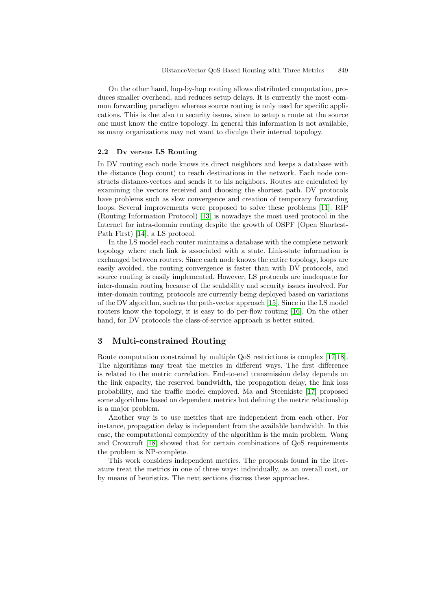<span id="page-2-0"></span>On the other hand, hop-by-hop routing allows distributed computation, produces smaller overhead, and reduces setup delays. It is currently the most common forwarding paradigm whereas source routing is only used for specific applications. This is due also to security issues, since to setup a route at the source one must know the entire topology. In general this information is not available, as many organizations may not want to divulge their internal topology.

#### **2.2 Dv versus LS Routing**

In DV routing each node knows its direct neighbors and keeps a database with the distance (hop count) to reach destinations in the network. Each node constructs distance-vectors and sends it to his neighbors. Routes are calculated by examining the vectors received and choosing the shortest path. DV protocols have problems such as slow convergence and creation of temporary forwarding loops. Several improvements were proposed to solve these problems [\[11\]](#page-11-0). RIP (Routing Information Protocol) [\[13\]](#page-11-0) is nowadays the most used protocol in the Internet for intra-domain routing despite the growth of OSPF (Open Shortest-Path First) [\[14\]](#page-11-0), a LS protocol.

In the LS model each router maintains a database with the complete network topology where each link is associated with a state. Link-state information is exchanged between routers. Since each node knows the entire topology, loops are easily avoided, the routing convergence is faster than with DV protocols, and source routing is easily implemented. However, LS protocols are inadequate for inter-domain routing because of the scalability and security issues involved. For inter-domain routing, protocols are currently being deployed based on variations of the DV algorithm, such as the path-vector approach [\[15\]](#page-11-0). Since in the LS model routers know the topology, it is easy to do per-flow routing [\[16\]](#page-11-0). On the other hand, for DV protocols the class-of-service approach is better suited.

# **3 Multi-constrained Routing**

Route computation constrained by multiple QoS restrictions is complex [\[17,18\]](#page-11-0). The algorithms may treat the metrics in different ways. The first difference is related to the metric correlation. End-to-end transmission delay depends on the link capacity, the reserved bandwidth, the propagation delay, the link loss probability, and the traffic model employed. Ma and Steenkiste [\[17\]](#page-11-0) proposed some algorithms based on dependent metrics but defining the metric relationship is a major problem.

Another way is to use metrics that are independent from each other. For instance, propagation delay is independent from the available bandwidth. In this case, the computational complexity of the algorithm is the main problem. Wang and Crowcroft [\[18\]](#page-11-0) showed that for certain combinations of QoS requirements the problem is NP-complete.

This work considers independent metrics. The proposals found in the literature treat the metrics in one of three ways: individually, as an overall cost, or by means of heuristics. The next sections discuss these approaches.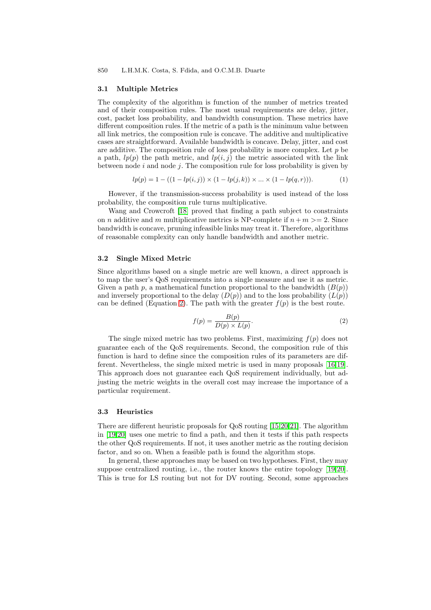#### **3.1 Multiple Metrics**

The complexity of the algorithm is function of the number of metrics treated and of their composition rules. The most usual requirements are delay, jitter, cost, packet loss probability, and bandwidth consumption. These metrics have different composition rules. If the metric of a path is the minimum value between all link metrics, the composition rule is concave. The additive and multiplicative cases are straightforward. Available bandwidth is concave. Delay, jitter, and cost are additive. The composition rule of loss probability is more complex. Let  $p$  be a path,  $lp(p)$  the path metric, and  $lp(i, j)$  the metric associated with the link between node  $i$  and node  $j$ . The composition rule for loss probability is given by

$$
lp(p) = 1 - ((1 - lp(i, j)) \times (1 - lp(j, k)) \times ... \times (1 - lp(q, r))).
$$
\n(1)

However, if the transmission-success probability is used instead of the loss probability, the composition rule turns multiplicative.

Wang and Crowcroft [\[18\]](#page-11-0) proved that finding a path subject to constraints on *n* additive and *m* multiplicative metrics is NP-complete if  $n + m \geq 2$ . Since bandwidth is concave, pruning infeasible links may treat it. Therefore, algorithms of reasonable complexity can only handle bandwidth and another metric.

#### **3.2 Single Mixed Metric**

Since algorithms based on a single metric are well known, a direct approach is to map the user's QoS requirements into a single measure and use it as metric. Given a path p, a mathematical function proportional to the bandwidth  $(B(p))$ and inversely proportional to the delay  $(D(p))$  and to the loss probability  $(L(p))$ can be defined (Equation 2). The path with the greater  $f(p)$  is the best route.

$$
f(p) = \frac{B(p)}{D(p) \times L(p)}.\t\t(2)
$$

The single mixed metric has two problems. First, maximizing  $f(p)$  does not guarantee each of the QoS requirements. Second, the composition rule of this function is hard to define since the composition rules of its parameters are different. Nevertheless, the single mixed metric is used in many proposals [\[16,19\]](#page-11-0). This approach does not guarantee each QoS requirement individually, but adjusting the metric weights in the overall cost may increase the importance of a particular requirement.

#### **3.3 Heuristics**

There are different heuristic proposals for QoS routing [\[15,20,21\]](#page-11-0). The algorithm in [\[19,20\]](#page-11-0) uses one metric to find a path, and then it tests if this path respects the other QoS requirements. If not, it uses another metric as the routing decision factor, and so on. When a feasible path is found the algorithm stops.

In general, these approaches may be based on two hypotheses. First, they may suppose centralized routing, i.e., the router knows the entire topology [\[19,20\]](#page-11-0). This is true for LS routing but not for DV routing. Second, some approaches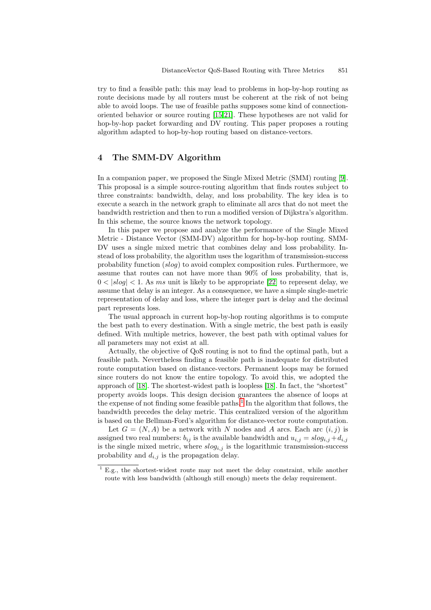<span id="page-4-0"></span>try to find a feasible path: this may lead to problems in hop-by-hop routing as route decisions made by all routers must be coherent at the risk of not being able to avoid loops. The use of feasible paths supposes some kind of connectionoriented behavior or source routing [\[15,21\]](#page-11-0). These hypotheses are not valid for hop-by-hop packet forwarding and DV routing. This paper proposes a routing algorithm adapted to hop-by-hop routing based on distance-vectors.

## **4 The SMM-DV Algorithm**

In a companion paper, we proposed the Single Mixed Metric (SMM) routing [\[9\]](#page-11-0). This proposal is a simple source-routing algorithm that finds routes subject to three constraints: bandwidth, delay, and loss probability. The key idea is to execute a search in the network graph to eliminate all arcs that do not meet the bandwidth restriction and then to run a modified version of Dijkstra's algorithm. In this scheme, the source knows the network topology.

In this paper we propose and analyze the performance of the Single Mixed Metric - Distance Vector (SMM-DV) algorithm for hop-by-hop routing. SMM-DV uses a single mixed metric that combines delay and loss probability. Instead of loss probability, the algorithm uses the logarithm of transmission-success probability function (slog) to avoid complex composition rules. Furthermore, we assume that routes can not have more than 90% of loss probability, that is,  $0 < |slog| < 1$ . As ms unit is likely to be appropriate [\[22\]](#page-11-0) to represent delay, we assume that delay is an integer. As a consequence, we have a simple single-metric representation of delay and loss, where the integer part is delay and the decimal part represents loss.

The usual approach in current hop-by-hop routing algorithms is to compute the best path to every destination. With a single metric, the best path is easily defined. With multiple metrics, however, the best path with optimal values for all parameters may not exist at all.

Actually, the objective of QoS routing is not to find the optimal path, but a feasible path. Nevertheless finding a feasible path is inadequate for distributed route computation based on distance-vectors. Permanent loops may be formed since routers do not know the entire topology. To avoid this, we adopted the approach of [\[18\]](#page-11-0). The shortest-widest path is loopless [\[18\]](#page-11-0). In fact, the "shortest" property avoids loops. This design decision guarantees the absence of loops at the expense of not finding some feasible paths.<sup>1</sup> In the algorithm that follows, the bandwidth precedes the delay metric. This centralized version of the algorithm is based on the Bellman-Ford's algorithm for distance-vector route computation.

Let  $G = (N, A)$  be a network with N nodes and A arcs. Each arc  $(i, j)$  is assigned two real numbers:  $b_{ij}$  is the available bandwidth and  $u_{i,j} = slog_{i,j} + d_{i,j}$ is the single mixed metric, where  $slog_{i,j}$  is the logarithmic transmission-success probability and  $d_{i,j}$  is the propagation delay.

<sup>1</sup> E.g., the shortest-widest route may not meet the delay constraint, while another route with less bandwidth (although still enough) meets the delay requirement.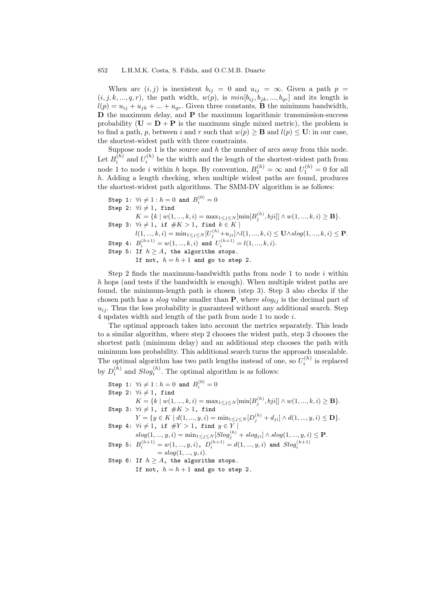When arc  $(i, j)$  is inexistent  $b_{ij} = 0$  and  $u_{ij} = \infty$ . Given a path  $p =$  $(i, j, k, ..., q, r)$ , the path width,  $w(p)$ , is  $min[b_{ij}, b_{jk}, ..., b_{qr}]$  and its length is  $l(p) = u_{ij} + u_{jk} + ... + u_{qr}$ . Given three constants, **B** the minimum bandwidth, **D** the maximum delay, and **P** the maximum logarithmic transmission-success probability  $(\mathbf{U} = \mathbf{D} + \mathbf{P})$  is the maximum single mixed metric), the problem is to find a path, p, between i and r such that  $w(p) \geq \mathbf{B}$  and  $l(p) \leq \mathbf{U}$ : in our case, the shortest-widest path with three constraints.

Suppose node 1 is the source and  $h$  the number of arcs away from this node. Let  $B_i^{(h)}$  and  $U_i^{(h)}$  be the width and the length of the shortest-widest path from node 1 to node *i* within *h* hops. By convention,  $B_1^{(h)} = \infty$  and  $U_1^{(h)} = 0$  for all h. Adding a length checking, when multiple widest paths are found, produces the shortest-widest path algorithms. The SMM-DV algorithm is as follows:

Step 1:  $\forall i \neq 1 : h = 0$  and  $B_i^{(0)} = 0$ Step 2:  $\forall i \neq 1$ , find  $K = \{k \mid w(1, ..., k, i) = \max_{1 \leq j \leq N} [\min[B_j^{(h)}, bij]] \wedge w(1, ..., k, i) \geq \mathbf{B}\}.$ Step 3:  $\forall i \neq 1$ , if  $\#K > 1$ , find  $k \in K$  $l(1, ..., k, i) = \min_{1 \leq j \leq N} [U_j^{(h)} + u_{ji}] \wedge l(1, ..., k, i) \leq \mathbf{U} \wedge s \log(1, ..., k, i) \leq \mathbf{P}.$ Step 4:  $B_i^{(h+1)} = w(1, ..., k, i)$  and  $U_i^{(h+1)} = l(1, ..., k, i)$ . Step 5: If  $h \geq A$ , the algorithm stops. If not,  $h = h + 1$  and go to step 2.

Step 2 finds the maximum-bandwidth paths from node 1 to node  $i$  within h hops (and tests if the bandwidth is enough). When multiple widest paths are found, the minimum-length path is chosen (step 3). Step 3 also checks if the chosen path has a *slog* value smaller than  $P$ , where  $slog_{ij}$  is the decimal part of  $u_{ij}$ . Thus the loss probability is guaranteed without any additional search. Step 4 updates width and length of the path from node 1 to node i.

The optimal approach takes into account the metrics separately. This leads to a similar algorithm, where step 2 chooses the widest path, step 3 chooses the shortest path (minimum delay) and an additional step chooses the path with minimum loss probability. This additional search turns the approach unscalable. The optimal algorithm has two path lengths instead of one, so  $U_i^{(h)}$  is replaced by  $D_i^{(h)}$  and  $Slog_i^{(h)}$ . The optimal algorithm is as follows:

Step 1:  $\forall i \neq 1 : h = 0$  and  $B_i^{(0)} = 0$ Step 2:  $\forall i \neq 1$ , find  $K = \{k \mid w(1, ..., k, i) = \max_{1 \leq j \leq N} [\min[B_j^{(h)}, bij]] \wedge w(1, ..., k, i) \geq \mathbf{B}\}.$ Step 3:  $\forall i \neq 1$ , if  $\#K > 1$ , find  $Y = \{y \in K \mid d(1, ..., y, i) = \min_{1 \leq j \leq N} [D_j^{(h)} + d_{ji}] \wedge d(1, ..., y, i) \leq D\}.$ Step 4:  $\forall i \neq 1$ , if  $\#Y > 1$ , find  $y \in \overline{Y}$  $slog(1, ..., y, i) = min_{1 \leq j \leq N} [Slog_j^{(h)} + slog_{ji}] \wedge slog(1, ..., y, i) \leq P.$ Step 5:  $B_i^{(h+1)} = w(1, ..., y, i)$ ,  $D_i^{(h+1)} = d(1, ..., y, i)$  and  $Slog_i^{(h+1)}$  $= s \log(1, ..., y, i).$ Step 6: If  $h \geq A$ , the algorithm stops. If not,  $h = h + 1$  and go to step 2.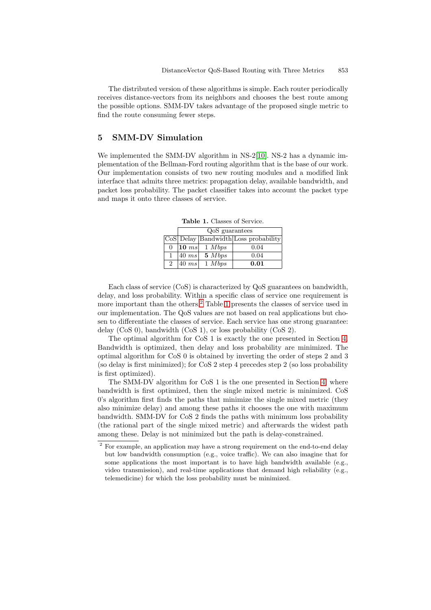<span id="page-6-0"></span>The distributed version of these algorithms is simple. Each router periodically receives distance-vectors from its neighbors and chooses the best route among the possible options. SMM-DV takes advantage of the proposed single metric to find the route consuming fewer steps.

### **5 SMM-DV Simulation**

We implemented the SMM-DV algorithm in NS-2[\[10\]](#page-11-0). NS-2 has a dynamic implementation of the Bellman-Ford routing algorithm that is the base of our work. Our implementation consists of two new routing modules and a modified link interface that admits three metrics: propagation delay, available bandwidth, and packet loss probability. The packet classifier takes into account the packet type and maps it onto three classes of service.

|                | QoS guarantees |                     |                                      |
|----------------|----------------|---------------------|--------------------------------------|
|                |                |                     | CoS Delay Bandwidth Loss probability |
| $\Omega$       |                | $ 10 \; ms $ 1 Mbps | 0.04                                 |
| 1              | $40$ ms        | $5 \; Mbps$         | 0.04                                 |
| $\overline{2}$ | $40 \; ms$     | $1 \; Mbps$         | 0.01                                 |

**Table 1.** Classes of Service.

Each class of service (CoS) is characterized by QoS guarantees on bandwidth, delay, and loss probability. Within a specific class of service one requirement is more important than the others.<sup>2</sup> Table 1 presents the classes of service used in our implementation. The QoS values are not based on real applications but chosen to differentiate the classes of service. Each service has one strong guarantee: delay (CoS 0), bandwidth (CoS 1), or loss probability (CoS 2).

The optimal algorithm for CoS 1 is exactly the one presented in Section [4.](#page-4-0) Bandwidth is optimized, then delay and loss probability are minimized. The optimal algorithm for CoS 0 is obtained by inverting the order of steps 2 and 3 (so delay is first minimized); for  $\cos 2$  step 4 precedes step 2 (so loss probability is first optimized).

The SMM-DV algorithm for CoS 1 is the one presented in Section [4,](#page-4-0) where bandwidth is first optimized, then the single mixed metric is minimized. CoS 0's algorithm first finds the paths that minimize the single mixed metric (they also minimize delay) and among these paths it chooses the one with maximum bandwidth. SMM-DV for CoS 2 finds the paths with minimum loss probability (the rational part of the single mixed metric) and afterwards the widest path among these. Delay is not minimized but the path is delay-constrained.

<sup>2</sup> For example, an application may have a strong requirement on the end-to-end delay but low bandwidth consumption (e.g., voice traffic). We can also imagine that for some applications the most important is to have high bandwidth available (e.g., video transmission), and real-time applications that demand high reliability (e.g., telemedicine) for which the loss probability must be minimized.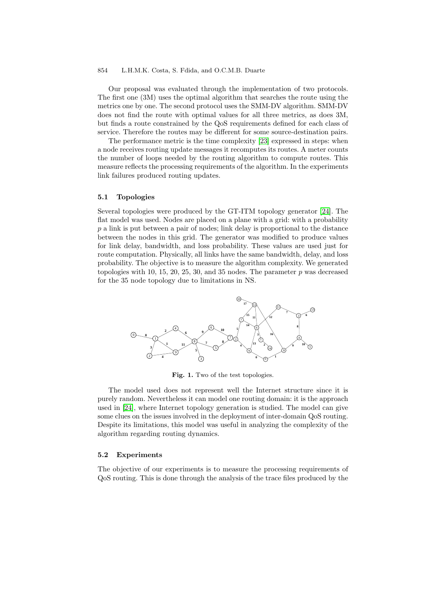<span id="page-7-0"></span>Our proposal was evaluated through the implementation of two protocols. The first one (3M) uses the optimal algorithm that searches the route using the metrics one by one. The second protocol uses the SMM-DV algorithm. SMM-DV does not find the route with optimal values for all three metrics, as does 3M, but finds a route constrained by the QoS requirements defined for each class of service. Therefore the routes may be different for some source-destination pairs.

The performance metric is the time complexity [\[23\]](#page-11-0) expressed in steps: when a node receives routing update messages it recomputes its routes. A meter counts the number of loops needed by the routing algorithm to compute routes. This measure reflects the processing requirements of the algorithm. In the experiments link failures produced routing updates.

#### **5.1 Topologies**

Several topologies were produced by the GT-ITM topology generator [\[24\]](#page-11-0). The flat model was used. Nodes are placed on a plane with a grid: with a probability p a link is put between a pair of nodes; link delay is proportional to the distance between the nodes in this grid. The generator was modified to produce values for link delay, bandwidth, and loss probability. These values are used just for route computation. Physically, all links have the same bandwidth, delay, and loss probability. The objective is to measure the algorithm complexity. We generated topologies with 10, 15, 20, 25, 30, and 35 nodes. The parameter  $p$  was decreased for the 35 node topology due to limitations in NS.



**Fig. 1.** Two of the test topologies.

The model used does not represent well the Internet structure since it is purely random. Nevertheless it can model one routing domain: it is the approach used in [\[24\]](#page-11-0), where Internet topology generation is studied. The model can give some clues on the issues involved in the deployment of inter-domain QoS routing. Despite its limitations, this model was useful in analyzing the complexity of the algorithm regarding routing dynamics.

#### **5.2 Experiments**

The objective of our experiments is to measure the processing requirements of QoS routing. This is done through the analysis of the trace files produced by the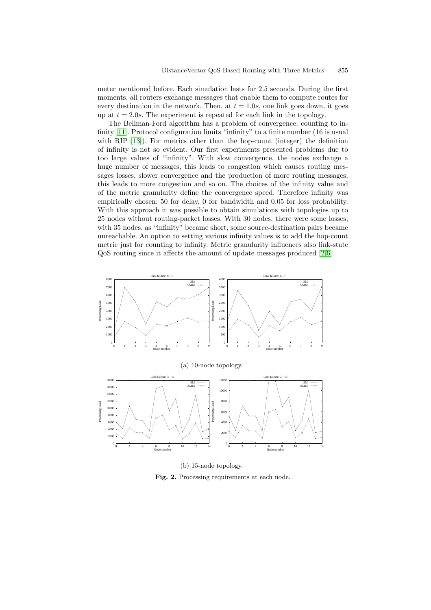<span id="page-8-0"></span>meter mentioned before. Each simulation lasts for 2.5 seconds. During the first moments, all routers exchange messages that enable them to compute routes for every destination in the network. Then, at  $t = 1.0s$ , one link goes down, it goes up at  $t = 2.0s$ . The experiment is repeated for each link in the topology.

The Bellman-Ford algorithm has a problem of convergence: counting to infinity [\[11\]](#page-11-0). Protocol configuration limits "infinity" to a finite number (16 is usual with RIP [\[13\]](#page-11-0)). For metrics other than the hop-count (integer) the definition of infinity is not so evident. Our first experiments presented problems due to too large values of "infinity". With slow convergence, the nodes exchange a huge number of messages, this leads to congestion which causes routing messages losses, slower convergence and the production of more routing messages; this leads to more congestion and so on. The choices of the infinity value and of the metric granularity define the convergence speed. Therefore infinity was empirically chosen: 50 for delay, 0 for bandwidth and 0.05 for loss probability. With this approach it was possible to obtain simulations with topologies up to 25 nodes without routing-packet losses. With 30 nodes, there were some losses; with 35 nodes, as "infinity" became short, some source-destination pairs became unreachable. An option to setting various infinity values is to add the hop-count metric just for counting to infinity. Metric granularity influences also link-state QoS routing since it affects the amount of update messages produced [\[2,](#page-10-0)[6\]](#page-11-0).



(b) 15-node topology. **Fig. 2.** Processing requirements at each node.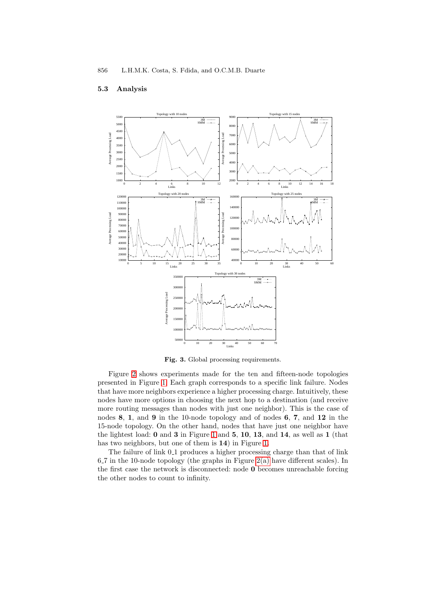#### <span id="page-9-0"></span>**5.3 Analysis**



**Fig. 3.** Global processing requirements.

Figure [2](#page-8-0) shows experiments made for the ten and fifteen-node topologies presented in Figure [1.](#page-7-0) Each graph corresponds to a specific link failure. Nodes that have more neighbors experience a higher processing charge. Intuitively, these nodes have more options in choosing the next hop to a destination (and receive more routing messages than nodes with just one neighbor). This is the case of nodes **8**, **1**, and **9** in the 10-node topology and of nodes **6**, **7**, and **12** in the 15-node topology. On the other hand, nodes that have just one neighbor have the lightest load: **0** and **3** in Figure [1](#page-7-0) and **5**, **10**, **13**, and **14**, as well as **1** (that has two neighbors, but one of them is **14**) in Figure [1.](#page-7-0)

The failure of link 0.1 produces a higher processing charge than that of link  $6-7$  in the 10-node topology (the graphs in Figure [2\(a\)](#page-8-0) have different scales). In the first case the network is disconnected: node **0** becomes unreachable forcing the other nodes to count to infinity.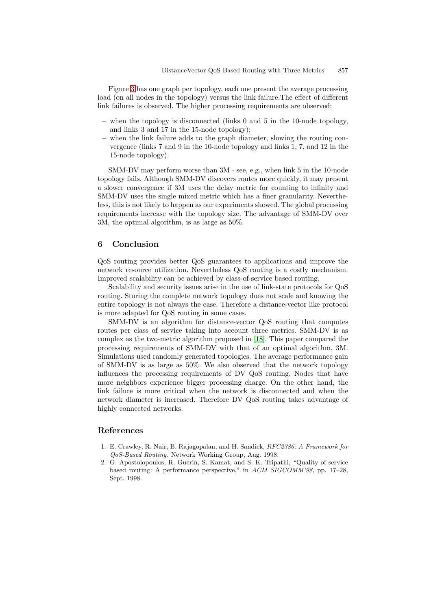<span id="page-10-0"></span>Figure [3](#page-9-0) has one graph per topology, each one present the average processing load (on all nodes in the topology) versus the link failure.The effect of different link failures is observed. The higher processing requirements are observed:

- **–** when the topology is disconnected (links 0 and 5 in the 10-node topology, and links 3 and 17 in the 15-node topology);
- **–** when the link failure adds to the graph diameter, slowing the routing convergence (links 7 and 9 in the 10-node topology and links 1, 7, and 12 in the 15-node topology).

SMM-DV may perform worse than 3M - see, e.g., when link 5 in the 10-node topology fails. Although SMM-DV discovers routes more quickly, it may present a slower convergence if 3M uses the delay metric for counting to infinity and SMM-DV uses the single mixed metric which has a finer granularity. Nevertheless, this is not likely to happen as our experiments showed. The global processing requirements increase with the topology size. The advantage of SMM-DV over 3M, the optimal algorithm, is as large as 50%.

## **6 Conclusion**

QoS routing provides better QoS guarantees to applications and improve the network resource utilization. Nevertheless QoS routing is a costly mechanism. Improved scalability can be achieved by class-of-service based routing.

Scalability and security issues arise in the use of link-state protocols for QoS routing. Storing the complete network topology does not scale and knowing the entire topology is not always the case. Therefore a distance-vector like protocol is more adapted for QoS routing in some cases.

SMM-DV is an algorithm for distance-vector QoS routing that computes routes per class of service taking into account three metrics. SMM-DV is as complex as the two-metric algorithm proposed in [\[18\]](#page-11-0). This paper compared the processing requirements of SMM-DV with that of an optimal algorithm, 3M. Simulations used randomly generated topologies. The average performance gain of SMM-DV is as large as 50%. We also observed that the network topology influences the processing requirements of DV QoS routing. Nodes that have more neighbors experience bigger processing charge. On the other hand, the link failure is more critical when the network is disconnected and when the network diameter is increased. Therefore DV QoS routing takes advantage of highly connected networks.

# **References**

- 1. E. Crawley, R. Nair, B. Rajagopalan, and H. Sandick, RFC2386: A Framework for QoS-Based Routing. Network Working Group, Aug. 1998.
- 2. G. Apostolopoulos, R. Guerin, S. Kamat, and S. K. Tripathi, "Quality of service based routing: A performance perspective," in ACM SIGCOMM'98, pp. 17–28, Sept. 1998.